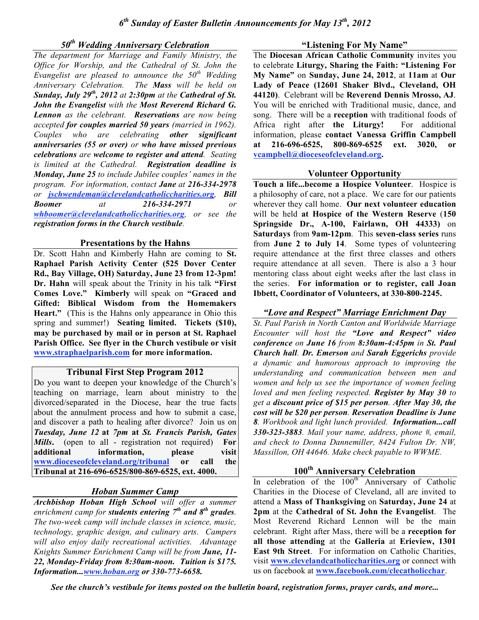# *50th Wedding Anniversary Celebration*

*The department for Marriage and Family Ministry, the Office for Worship, and the Cathedral of St. John the Evangelist are pleased to announce the 50th Wedding Anniversary Celebration. The Mass will be held on Sunday, July 29th , 2012 at 2:30pm at the Cathedral of St. John the Evangelist with the Most Reverend Richard G. Lennon as the celebrant. Reservations are now being accepted for couples married 50 years (married in 1962). Couples who are celebrating other significant anniversaries (55 or over) or who have missed previous celebrations are welcome to register and attend. Seating is limited at the Cathedral. Registration deadline is Monday, June 25 to include Jubilee couples' names in the program. For information, contact Jane at 216-334-2978 or jschwendeman@clevelandcatholiccharities.org, Bill Boomer at 216-334-2971 or whboomer@clevelandcatholiccharities.org, or see the registration forms in the Church vestibule.*

#### **Presentations by the Hahns**

Dr. Scott Hahn and Kimberly Hahn are coming to **St. Raphael Parish Activity Center (525 Dover Center Rd., Bay Village, OH) Saturday, June 23 from 12-3pm! Dr. Hahn** will speak about the Trinity in his talk **"First Comes Love." Kimberly** will speak on **"Graced and Gifted: Biblical Wisdom from the Homemakers Heart."** (This is the Hahns only appearance in Ohio this spring and summer!) **Seating limited. Tickets (\$10), may be purchased by mail or in person at St. Raphael Parish Office. See flyer in the Church vestibule or visit www.straphaelparish.com for more information.**

## **Tribunal First Step Program 2012**

Do you want to deepen your knowledge of the Church's teaching on marriage, learn about ministry to the divorced/separated in the Diocese, hear the true facts about the annulment process and how to submit a case, and discover a path to healing after divorce? Join us on *Tuesday, June 12* **at** *7pm* **at** *St. Francis Parish, Gates Mills***.** (open to all - registration not required) **For additional information, please visit www.dioceseofcleveland.org/tribunal or call the Tribunal at 216-696-6525/800-869-6525, ext. 4000.**

# *Hoban Summer Camp*

*Archbishop Hoban High School will offer a summer enrichment camp for students entering 7th and 8th grades. The two-week camp will include classes in science, music, technology, graphic design, and culinary arts. Campers will also enjoy daily recreational activities. Advantage Knights Summer Enrichment Camp will be from June, 11- 22, Monday-Friday from 8:30am-noon. Tuition is \$175. Information...www.hoban.org or 330-773-6658.*

#### **"Listening For My Name"**

The **Diocesan African Catholic Community** invites you to celebrate **Liturgy, Sharing the Faith: "Listening For My Name"** on **Sunday, June 24, 2012**, at **11am** at **Our Lady of Peace (12601 Shaker Blvd., Cleveland, OH 44120)**. Celebrant will be **Reverend Dennis Mrosso, AJ**. You will be enriched with Traditional music, dance, and song. There will be a **reception** with traditional foods of Africa right after **the Liturgy!** For additional information, please **contact Vanessa Griffin Campbell at 216-696-6525, 800-869-6525 ext. 3020, or vcampbell@dioceseofcleveland.org.**

#### **Volunteer Opportunity**

**Touch a life...become a Hospice Volunteer**. Hospice is a philosophy of care, not a place. We care for our patients wherever they call home. **Our next volunteer education** will be held **at Hospice of the Western Reserve** (**150 Springside Dr., A-100, Fairlawn, OH 44333)** on **Saturdays** from **9am-12pm**. This **seven-class series** runs from **June 2 to July 14**. Some types of volunteering require attendance at the first three classes and others require attendance at all seven. There is also a 3 hour mentoring class about eight weeks after the last class in the series. **For information or to register, call Joan Ibbett, Coordinator of Volunteers, at 330-800-2245.**

## *"Love and Respect" Marriage Enrichment Day*

*St. Paul Parish in North Canton and Worldwide Marriage Encounter will host the "Love and Respect" video conference on June 16 from 8:30am-4:45pm in St. Paul Church hall. Dr. Emerson and Sarah Eggerichs provide a dynamic and humorous approach to improving the understanding and communication between men and women and help us see the importance of women feeling loved and men feeling respected. Register by May 30 to get a discount price of \$15 per person. After May 30, the cost will be \$20 per person. Reservation Deadline is June 8. Workbook and light lunch provided. Information...call 330-323-3883. Mail your name, address, phone #, email, and check to Donna Dannemiller, 8424 Fulton Dr. NW, Massillon, OH 44646. Make check payable to WWME.*

# **100th Anniversary Celebration**

In celebration of the  $100<sup>th</sup>$  Anniversary of Catholic Charities in the Diocese of Cleveland, all are invited to attend a **Mass of Thanksgiving** on **Saturday, June 24** at **2pm** at the **Cathedral of St. John the Evangelist**. The Most Reverend Richard Lennon will be the main celebrant. Right after Mass, there will be a **reception for all those attending** at the **Galleria** at **Erieview, 1301 East 9th Street**. For information on Catholic Charities, visit **www.clevelandcatholiccharities.org** or connect with us on facebook at **www.facebook.com/clecatholicchar**.

*See the church's vestibule for items posted on the bulletin board, registration forms, prayer cards, and more...*